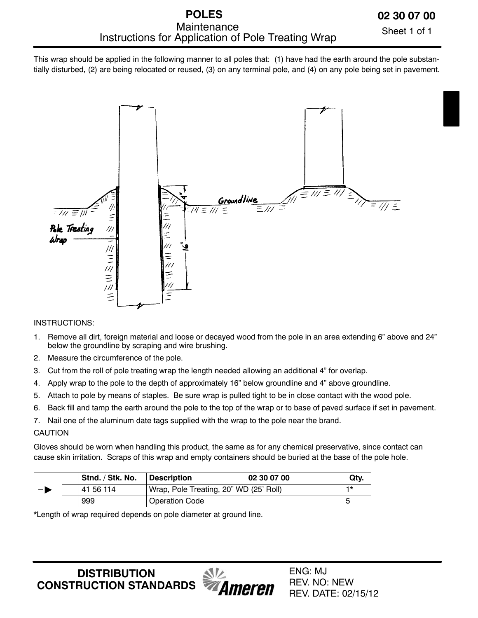# **POLES** Instructions for Application of Pole Treating Wrap Maintenance

Sheet 1 of 1

This wrap should be applied in the following manner to all poles that: (1) have had the earth around the pole substantially disturbed, (2) are being relocated or reused, (3) on any terminal pole, and (4) on any pole being set in pavement.



## INSTRUCTIONS:

- 1. Remove all dirt, foreign material and loose or decayed wood from the pole in an area extending 6" above and 24" below the groundline by scraping and wire brushing.
- 2. Measure the circumference of the pole.
- 3. Cut from the roll of pole treating wrap the length needed allowing an additional 4" for overlap.
- 4. Apply wrap to the pole to the depth of approximately 16" below groundline and 4" above groundline.
- 5. Attach to pole by means of staples. Be sure wrap is pulled tight to be in close contact with the wood pole.
- 6. Back fill and tamp the earth around the pole to the top of the wrap or to base of paved surface if set in pavement.
- 7. Nail one of the aluminum date tags supplied with the wrap to the pole near the brand.

## CAUTION

Gloves should be worn when handling this product, the same as for any chemical preservative, since contact can cause skin irritation. Scraps of this wrap and empty containers should be buried at the base of the pole hole. -

|      | Stnd. / Stk. No. | Description                            | 02 30 07 00 | Qty. |
|------|------------------|----------------------------------------|-------------|------|
| $-1$ | 41 56 114        | Wrap, Pole Treating, 20" WD (25' Roll) |             |      |
|      | 999              | <b>Operation Code</b>                  |             |      |

\*Length of wrap required depends on pole diameter at ground line.

**DISTRIBUTION CONSTRUCTION STANDARDS**

**Ameren** 

ENG: MJ REV. NO: NEW REV. DATE: 02/15/12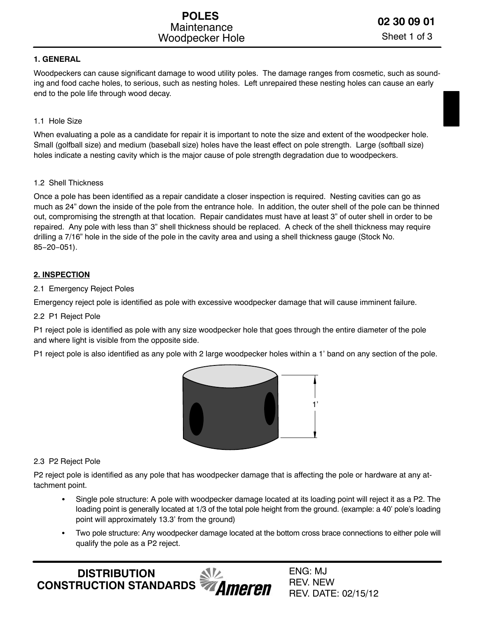## **1. GENERAL**

Woodpeckers can cause significant damage to wood utility poles. The damage ranges from cosmetic, such as sounding and food cache holes, to serious, such as nesting holes. Left unrepaired these nesting holes can cause an early end to the pole life through wood decay.

## 1.1 Hole Size

When evaluating a pole as a candidate for repair it is important to note the size and extent of the woodpecker hole. Small (golfball size) and medium (baseball size) holes have the least effect on pole strength. Large (softball size) holes indicate a nesting cavity which is the major cause of pole strength degradation due to woodpeckers.

## 1.2 Shell Thickness

Once a pole has been identified as a repair candidate a closer inspection is required. Nesting cavities can go as much as 24" down the inside of the pole from the entrance hole. In addition, the outer shell of the pole can be thinned out, compromising the strength at that location. Repair candidates must have at least 3" of outer shell in order to be repaired. Any pole with less than 3" shell thickness should be replaced. A check of the shell thickness may require drilling a 7/16" hole in the side of the pole in the cavity area and using a shell thickness gauge (Stock No. 85−20−051).

# **2. INSPECTION**

## 2.1 Emergency Reject Poles

Emergency reject pole is identified as pole with excessive woodpecker damage that will cause imminent failure.

## 2.2 P1 Reject Pole

P1 reject pole is identified as pole with any size woodpecker hole that goes through the entire diameter of the pole and where light is visible from the opposite side.

P1 reject pole is also identified as any pole with 2 large woodpecker holes within a 1' band on any section of the pole.



## 2.3 P2 Reject Pole

P2 reject pole is identified as any pole that has woodpecker damage that is affecting the pole or hardware at any attachment point.

- Single pole structure: A pole with woodpecker damage located at its loading point will reject it as a P2. The loading point is generally located at 1/3 of the total pole height from the ground. (example: a 40' pole's loading point will approximately 13.3' from the ground)
- Two pole structure: Any woodpecker damage located at the bottom cross brace connections to either pole will qualify the pole as a P2 reject.

**DISTRIBUTION CONSTRUCTION STANDARDS**  ENG: MJ REV. NEW REV. DATE: 02/15/12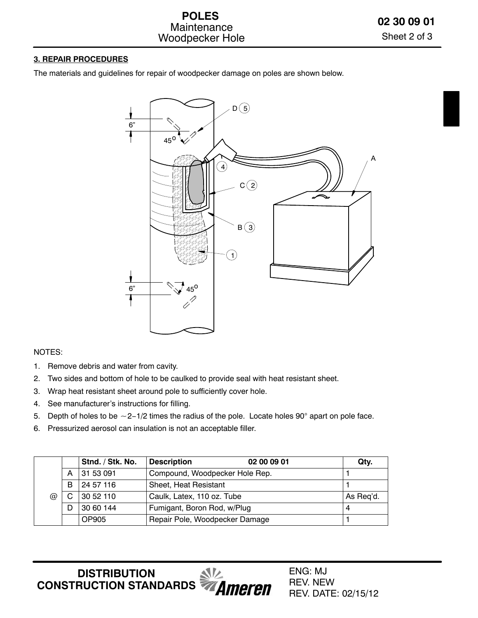#### **3. REPAIR PROCEDURES**

The materials and guidelines for repair of woodpecker damage on poles are shown below.



## NOTES:

- 1. Remove debris and water from cavity.
- 2. Two sides and bottom of hole to be caulked to provide seal with heat resistant sheet.
- 3. Wrap heat resistant sheet around pole to sufficiently cover hole.
- 4. See manufacturer's instructions for filling.
- 4. See manufacturer's instructions for filling.<br>5. Depth of holes to be ∼2–1/2 times the radius of the pole. Locate holes 90° apart on pole face.
- 6. Pressurized aerosol can insulation is not an acceptable filler.

|                      |   | Stnd. / Stk. No. | <b>Description</b>             | 02 00 09 01                    | Qty.      |  |  |  |  |  |
|----------------------|---|------------------|--------------------------------|--------------------------------|-----------|--|--|--|--|--|
| $^{\textregistered}$ | А | 31 53 091        |                                | Compound, Woodpecker Hole Rep. |           |  |  |  |  |  |
|                      | B | 24 57 116        | Sheet, Heat Resistant          |                                |           |  |  |  |  |  |
|                      |   | 3052110          | Caulk, Latex, 110 oz. Tube     |                                | As Req'd. |  |  |  |  |  |
|                      | D | 30 60 144        | Fumigant, Boron Rod, w/Plug    |                                | 4         |  |  |  |  |  |
|                      |   | OP905            | Repair Pole, Woodpecker Damage |                                |           |  |  |  |  |  |

**DISTRIBUTION**  $\sqrt{V}$ **CONSTRUCTION STANDARDS**<br>**CONSTRUCTION STANDARDS**  ENG: MJ REV. NEW REV. DATE: 02/15/12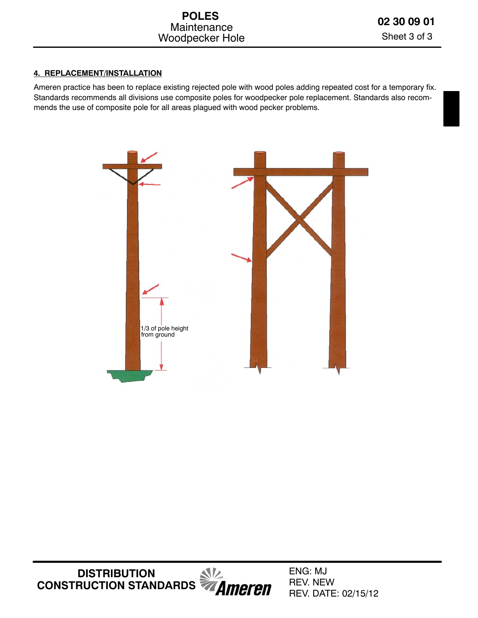# **4. REPLACEMENT/INSTALLATION**

Ameren practice has been to replace existing rejected pole with wood poles adding repeated cost for a temporary fix. Standards recommends all divisions use composite poles for woodpecker pole replacement. Standards also recommends the use of composite pole for all areas plagued with wood pecker problems.

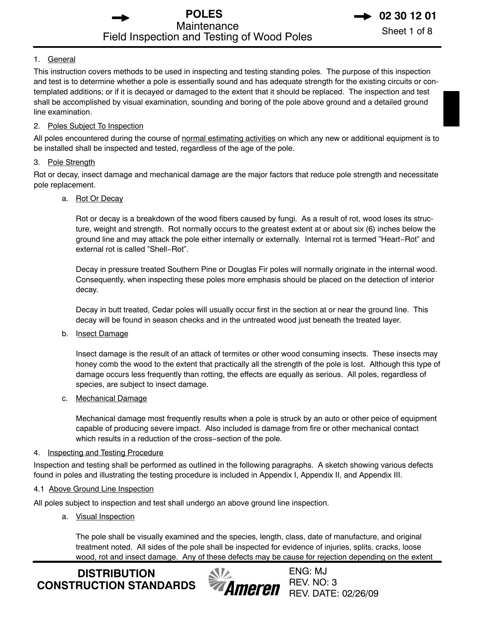**POLES** 2 30 12 01 Maintenance<br>
Sheet 1 of 8 Field Inspection and Testing of Wood Poles

#### 1. General

This instruction covers methods to be used in inspecting and testing standing poles. The purpose of this inspection and test is to determine whether a pole is essentially sound and has adequate strength for the existing circuits or contemplated additions; or if it is decayed or damaged to the extent that it should be replaced. The inspection and test shall be accomplished by visual examination, sounding and boring of the pole above ground and a detailed ground line examination.

#### 2. Poles Subject To Inspection

All poles encountered during the course of normal estimating activities on which any new or additional equipment is to be installed shall be inspected and tested, regardless of the age of the pole.

#### 3. Pole Strength

Rot or decay, insect damage and mechanical damage are the major factors that reduce pole strength and necessitate pole replacement.

#### a. Rot Or Decay

Rot or decay is a breakdown of the wood fibers caused by fungi. As a result of rot, wood loses its structure, weight and strength. Rot normally occurs to the greatest extent at or about six (6) inches below the ground line and may attack the pole either internally or externally. Internal rot is termed "Heart−Rot" and external rot is called "Shell−Rot".

Decay in pressure treated Southern Pine or Douglas Fir poles will normally originate in the internal wood. Consequently, when inspecting these poles more emphasis should be placed on the detection of interior decay.

Decay in butt treated, Cedar poles will usually occur first in the section at or near the ground line. This decay will be found in season checks and in the untreated wood just beneath the treated layer.

#### b. Insect Damage

Insect damage is the result of an attack of termites or other wood consuming insects. These insects may honey comb the wood to the extent that practically all the strength of the pole is lost. Although this type of damage occurs less frequently than rotting, the effects are equally as serious. All poles, regardless of species, are subject to insect damage.

#### c. Mechanical Damage

Mechanical damage most frequently results when a pole is struck by an auto or other peice of equipment capable of producing severe impact. Also included is damage from fire or other mechanical contact which results in a reduction of the cross−section of the pole.

#### 4. Inspecting and Testing Procedure

Inspection and testing shall be performed as outlined in the following paragraphs. A sketch showing various defects found in poles and illustrating the testing procedure is included in Appendix I, Appendix II, and Appendix III.

## 4.1 Above Ground Line Inspection

All poles subject to inspection and test shall undergo an above ground line inspection.

## a. Visual Inspection

The pole shall be visually examined and the species, length, class, date of manufacture, and original treatment noted. All sides of the pole shall be inspected for evidence of injuries, splits, cracks, loose wood, rot and insect damage. Any of these defects may be cause for rejection depending on the extent

**DISTRIBUTION CONSTRUCTION STANDARDS**

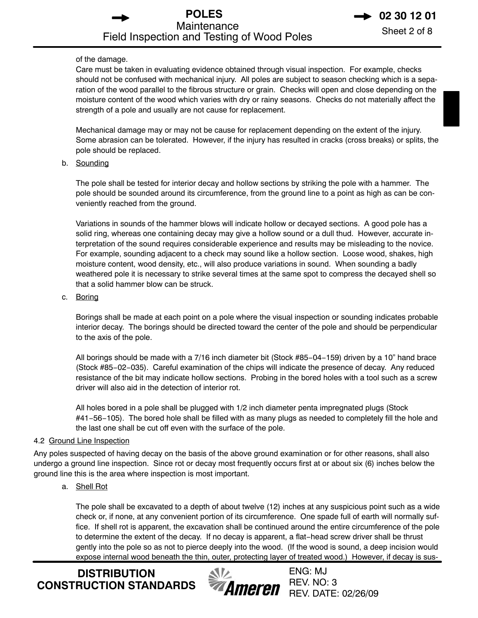of the damage.

Care must be taken in evaluating evidence obtained through visual inspection. For example, checks should not be confused with mechanical injury. All poles are subject to season checking which is a separation of the wood parallel to the fibrous structure or grain. Checks will open and close depending on the moisture content of the wood which varies with dry or rainy seasons. Checks do not materially affect the strength of a pole and usually are not cause for replacement.

Mechanical damage may or may not be cause for replacement depending on the extent of the injury. Some abrasion can be tolerated. However, if the injury has resulted in cracks (cross breaks) or splits, the pole should be replaced.

b. Sounding

The pole shall be tested for interior decay and hollow sections by striking the pole with a hammer. The pole should be sounded around its circumference, from the ground line to a point as high as can be conveniently reached from the ground.

Variations in sounds of the hammer blows will indicate hollow or decayed sections. A good pole has a solid ring, whereas one containing decay may give a hollow sound or a dull thud. However, accurate interpretation of the sound requires considerable experience and results may be misleading to the novice. For example, sounding adjacent to a check may sound like a hollow section. Loose wood, shakes, high moisture content, wood density, etc., will also produce variations in sound. When sounding a badly weathered pole it is necessary to strike several times at the same spot to compress the decayed shell so that a solid hammer blow can be struck.

c. Boring

Borings shall be made at each point on a pole where the visual inspection or sounding indicates probable interior decay. The borings should be directed toward the center of the pole and should be perpendicular to the axis of the pole.

All borings should be made with a 7/16 inch diameter bit (Stock #85−04−159) driven by a 10" hand brace (Stock #85−02−035). Careful examination of the chips will indicate the presence of decay. Any reduced resistance of the bit may indicate hollow sections. Probing in the bored holes with a tool such as a screw driver will also aid in the detection of interior rot.

All holes bored in a pole shall be plugged with 1/2 inch diameter penta impregnated plugs (Stock #41−56−105). The bored hole shall be filled with as many plugs as needed to completely fill the hole and the last one shall be cut off even with the surface of the pole.

## 4.2 Ground Line Inspection

Any poles suspected of having decay on the basis of the above ground examination or for other reasons, shall also undergo a ground line inspection. Since rot or decay most frequently occurs first at or about six (6) inches below the ground line this is the area where inspection is most important.

a. Shell Rot

The pole shall be excavated to a depth of about twelve (12) inches at any suspicious point such as a wide check or, if none, at any convenient portion of its circumference. One spade full of earth will normally suffice. If shell rot is apparent, the excavation shall be continued around the entire circumference of the pole to determine the extent of the decay. If no decay is apparent, a flat−head screw driver shall be thrust gently into the pole so as not to pierce deeply into the wood. (If the wood is sound, a deep incision would expose internal wood beneath the thin, outer, protecting layer of treated wood.) However, if decay is sus-

**DISTRIBUTION CONSTRUCTION STANDARDS**

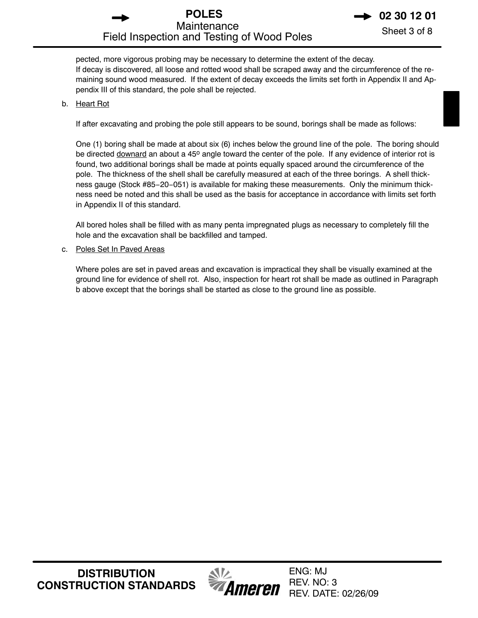# **POLES 12 01**<br>Maintenance Shoot 3 of 8 Maintenance<br>
Sheet 3 of 8 Field Inspection and Testing of Wood Poles

pected, more vigorous probing may be necessary to determine the extent of the decay. If decay is discovered, all loose and rotted wood shall be scraped away and the circumference of the remaining sound wood measured. If the extent of decay exceeds the limits set forth in Appendix II and Appendix III of this standard, the pole shall be rejected.

#### b. Heart Rot

If after excavating and probing the pole still appears to be sound, borings shall be made as follows:

One (1) boring shall be made at about six (6) inches below the ground line of the pole. The boring should be directed downard an about a 45° angle toward the center of the pole. If any evidence of interior rot is found, two additional borings shall be made at points equally spaced around the circumference of the pole. The thickness of the shell shall be carefully measured at each of the three borings. A shell thickness gauge (Stock #85−20−051) is available for making these measurements. Only the minimum thickness need be noted and this shall be used as the basis for acceptance in accordance with limits set forth in Appendix II of this standard.

All bored holes shall be filled with as many penta impregnated plugs as necessary to completely fill the hole and the excavation shall be backfilled and tamped.

c. Poles Set In Paved Areas

Where poles are set in paved areas and excavation is impractical they shall be visually examined at the ground line for evidence of shell rot. Also, inspection for heart rot shall be made as outlined in Paragraph b above except that the borings shall be started as close to the ground line as possible.

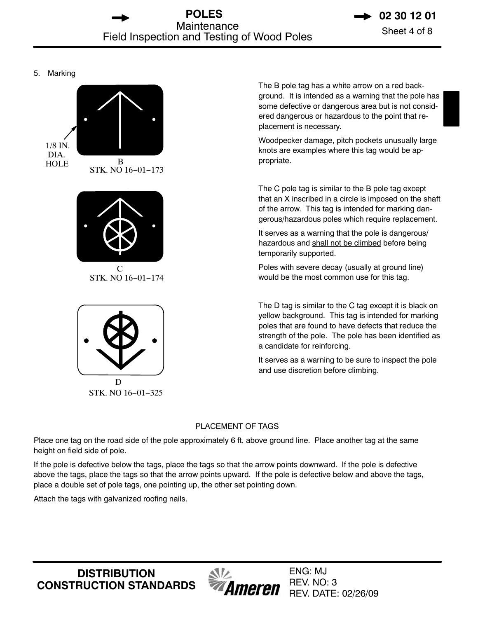#### 5. Marking





The B pole tag has a white arrow on a red background. It is intended as a warning that the pole has some defective or dangerous area but is not considered dangerous or hazardous to the point that replacement is necessary.

Woodpecker damage, pitch pockets unusually large knots are examples where this tag would be appropriate.

The C pole tag is similar to the B pole tag except that an X inscribed in a circle is imposed on the shaft of the arrow. This tag is intended for marking dangerous/hazardous poles which require replacement.

It serves as a warning that the pole is dangerous/ hazardous and shall not be climbed before being temporarily supported.

Poles with severe decay (usually at ground line) would be the most common use for this tag.

The D tag is similar to the C tag except it is black on yellow background. This tag is intended for marking poles that are found to have defects that reduce the strength of the pole. The pole has been identified as a candidate for reinforcing.

It serves as a warning to be sure to inspect the pole and use discretion before climbing.

#### PLACEMENT OF TAGS

Place one tag on the road side of the pole approximately 6 ft. above ground line. Place another tag at the same height on field side of pole.

If the pole is defective below the tags, place the tags so that the arrow points downward. If the pole is defective above the tags, place the tags so that the arrow points upward. If the pole is defective below and above the tags, place a double set of pole tags, one pointing up, the other set pointing down.

Attach the tags with galvanized roofing nails.

**DISTRIBUTION CONSTRUCTION STANDARDS**

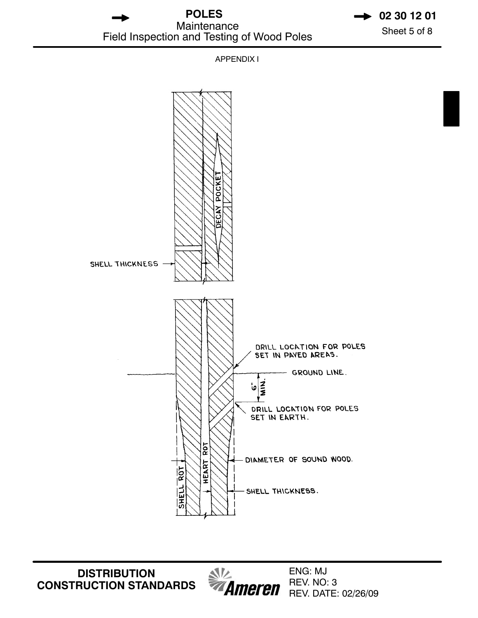**POLES 12 01**<br>Maintenance Sheet 5 of 8 Maintenance<br>
Sheet 5 of 8 Field Inspection and Testing of Wood Poles

APPENDIX I



**DISTRIBUTION CONSTRUCTION STANDARDS**

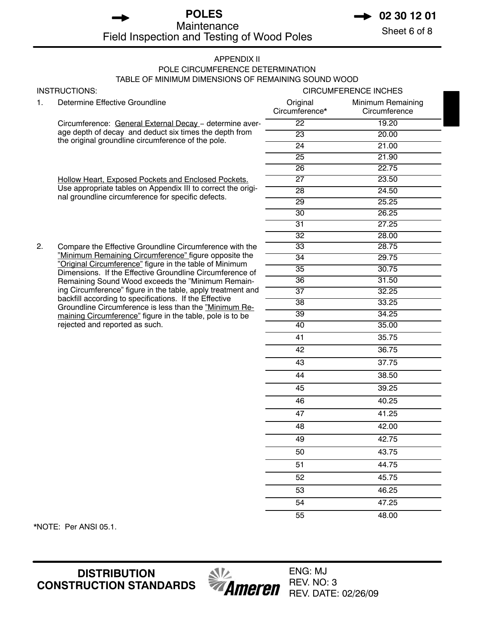# **POLES 12 01**<br>Maintenance Sheet 6 of 8 Maintenance<br>
Sheet 6 of 8 Field Inspection and Testing of Wood Poles

#### APPENDIX II POLE CIRCUMFERENCE DETERMINATION TABLE OF MINIMUM DIMENSIONS OF REMAINING SOUND WOOD

|    | INSTRUCTIONS:                                                                                                         | <b>CIRCUMFERENCE INCHES</b> |                                    |  |  |
|----|-----------------------------------------------------------------------------------------------------------------------|-----------------------------|------------------------------------|--|--|
| 1. | Determine Effective Groundline                                                                                        | Original<br>Circumference*  | Minimum Remaining<br>Circumference |  |  |
|    | Circumference: General External Decay - determine aver-                                                               | $\overline{22}$             | 19.20                              |  |  |
|    | age depth of decay and deduct six times the depth from                                                                | $\overline{23}$             | 20.00                              |  |  |
|    | the original groundline circumference of the pole.                                                                    | $\overline{24}$             | 21.00                              |  |  |
|    |                                                                                                                       | 25                          | 21.90                              |  |  |
|    |                                                                                                                       | $\overline{26}$             | 22.75                              |  |  |
|    | Hollow Heart, Exposed Pockets and Enclosed Pockets.                                                                   | $\overline{27}$             | 23.50                              |  |  |
|    | Use appropriate tables on Appendix III to correct the origi-<br>nal groundline circumference for specific defects.    | $\overline{28}$             | 24.50                              |  |  |
|    |                                                                                                                       | $\overline{29}$             | 25.25                              |  |  |
|    |                                                                                                                       | 30                          | 26.25                              |  |  |
|    |                                                                                                                       | 31                          | 27.25                              |  |  |
|    |                                                                                                                       | $\overline{32}$             | 28.00                              |  |  |
| 2. | Compare the Effective Groundline Circumference with the                                                               | 33                          | 28.75                              |  |  |
|    | "Minimum Remaining Circumference" figure opposite the<br>"Original Circumference" figure in the table of Minimum      | $\overline{34}$             | 29.75                              |  |  |
|    | Dimensions. If the Effective Groundline Circumference of                                                              | 35                          | 30.75                              |  |  |
|    | Remaining Sound Wood exceeds the "Minimum Remain-                                                                     | 36                          | 31.50                              |  |  |
|    | ing Circumference" figure in the table, apply treatment and<br>backfill according to specifications. If the Effective | $\overline{37}$             | 32.25                              |  |  |
|    | Groundline Circumference is less than the "Minimum Re-                                                                | 38                          | 33.25                              |  |  |
|    | maining Circumference" figure in the table, pole is to be                                                             | 39                          | 34.25                              |  |  |
|    | rejected and reported as such.                                                                                        | 40                          | 35.00                              |  |  |
|    |                                                                                                                       | 41                          | 35.75                              |  |  |
|    |                                                                                                                       | 42                          | 36.75                              |  |  |
|    |                                                                                                                       | 43                          | 37.75                              |  |  |
|    |                                                                                                                       | 44                          | 38.50                              |  |  |
|    |                                                                                                                       | 45                          | 39.25                              |  |  |
|    |                                                                                                                       | 46                          | 40.25                              |  |  |
|    |                                                                                                                       | 47                          | 41.25                              |  |  |
|    |                                                                                                                       | 48                          | 42.00                              |  |  |
|    |                                                                                                                       | 49                          | 42.75                              |  |  |
|    |                                                                                                                       | 50                          | 43.75                              |  |  |
|    |                                                                                                                       | 51                          | 44.75                              |  |  |
|    |                                                                                                                       | 52                          | 45.75                              |  |  |
|    |                                                                                                                       | 53                          | 46.25                              |  |  |

\*NOTE: Per ANSI 05.1.

**DISTRIBUTION CONSTRUCTION STANDARDS**



ENG: MJ REV. NO: 3 REV. DATE: 02/26/09

54 47.25 55 48.00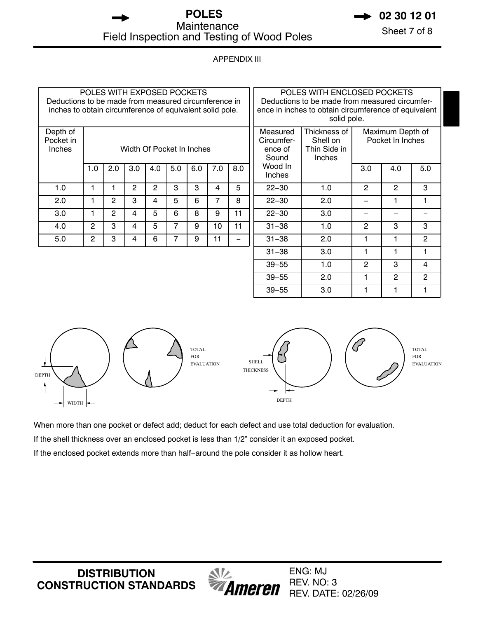# **POLES 12 01**<br>Maintenance Sheet 7 of 8 Maintenance<br>
Sheet 7 of 8 Field Inspection and Testing of Wood Poles

# APPENDIX III

| POLES WITH EXPOSED POCKETS<br>Deductions to be made from measured circumference in<br>inches to obtain circumference of equivalent solid pole. |                           |                |                |     |     |     |                 | POLES WITH ENCLOSED POCKETS<br>Deductions to be made from measured circumfer-<br>ence in inches to obtain circumference of equivalent<br>solid pole. |                                            |                                                    |                |                                      |                |
|------------------------------------------------------------------------------------------------------------------------------------------------|---------------------------|----------------|----------------|-----|-----|-----|-----------------|------------------------------------------------------------------------------------------------------------------------------------------------------|--------------------------------------------|----------------------------------------------------|----------------|--------------------------------------|----------------|
| Depth of<br>Pocket in<br>Inches                                                                                                                | Width Of Pocket In Inches |                |                |     |     |     |                 |                                                                                                                                                      | Measured<br>Circumfer-<br>ence of<br>Sound | Thickness of<br>Shell on<br>Thin Side in<br>Inches |                | Maximum Depth of<br>Pocket In Inches |                |
|                                                                                                                                                | 1.0                       | 2.0            | 3.0            | 4.0 | 5.0 | 6.0 | 7.0             | 8.0                                                                                                                                                  | Wood In<br><b>Inches</b>                   |                                                    | 3.0            | 4.0                                  | 5.0            |
| 1.0                                                                                                                                            |                           |                | $\overline{2}$ | 2   | 3   | 3   | 4               | 5                                                                                                                                                    | $22 - 30$                                  | 1.0                                                | 2              | $\overline{2}$                       | 3              |
| 2.0                                                                                                                                            | 1                         | $\overline{2}$ | 3              | 4   | 5   | 6   | 7               | 8                                                                                                                                                    | $22 - 30$                                  | 2.0                                                |                |                                      |                |
| 3.0                                                                                                                                            |                           | $\overline{2}$ | 4              | 5   | 6   | 8   | 9               | 11                                                                                                                                                   | $22 - 30$                                  | 3.0                                                |                |                                      |                |
| 4.0                                                                                                                                            | $\overline{2}$            | 3              | 4              | 5   | 7   | 9   | 10 <sup>1</sup> | 11                                                                                                                                                   | $31 - 38$                                  | 1.0                                                | $\overline{2}$ | 3                                    | 3              |
| 5.0                                                                                                                                            | $\overline{2}$            | 3              | 4              | 6   | 7   | 9   | 11              |                                                                                                                                                      | $31 - 38$                                  | 2.0                                                | 1              |                                      | $\overline{2}$ |
|                                                                                                                                                |                           |                |                |     |     |     | $31 - 38$       | 3.0                                                                                                                                                  | 1                                          |                                                    |                |                                      |                |
|                                                                                                                                                |                           |                |                |     |     |     | $39 - 55$       | 1.0                                                                                                                                                  | $\overline{2}$                             | 3                                                  | 4              |                                      |                |
|                                                                                                                                                |                           |                |                |     |     |     |                 |                                                                                                                                                      | $39 - 55$                                  | 2.0                                                |                | 2                                    | 2              |



TOTAL FOR EVALUATION

When more than one pocket or defect add; deduct for each defect and use total deduction for evaluation.

If the shell thickness over an enclosed pocket is less than 1/2" consider it an exposed pocket.

If the enclosed pocket extends more than half−around the pole consider it as hollow heart.

**DISTRIBUTION CONSTRUCTION STANDARDS**



ENG: MJ REV. NO: 3 REV. DATE: 02/26/09

39−55 3.0 1 1 1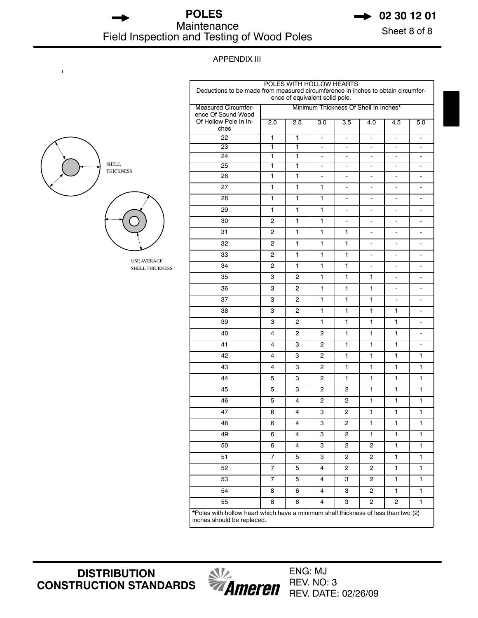**POLES → 02 30 12 01** Maintenance<br>
Sheet 8 of 8<br>
Sheet 8 of 8 Field Inspection and Testing of Wood Poles



#### APPENDIX III

| <b>SHELL</b><br><b>THICKNESS</b> |
|----------------------------------|
|                                  |

 $\mathbf{I}$ 



USE AVERAGE SHELL THICKNESS

| POLES WITH HOLLOW HEARTS<br>Deductions to be made from measured circumference in inches to obtain circumfer-<br>ence of equivalent solid pole. |                |                |                              |                                       |                              |                              |                          |  |
|------------------------------------------------------------------------------------------------------------------------------------------------|----------------|----------------|------------------------------|---------------------------------------|------------------------------|------------------------------|--------------------------|--|
| <b>Measured Circumfer-</b><br>ence Of Sound Wood                                                                                               |                |                |                              | Minimum Thickness Of Shell In Inches* |                              |                              |                          |  |
| Of Hollow Pole In In-<br>ches                                                                                                                  | 2.0            | 2.5            | 3.0                          | 3.5                                   | 4.0                          | 4.5                          | 5.0                      |  |
| $\overline{22}$                                                                                                                                | 1              | 1              | $\blacksquare$               | $\blacksquare$                        | $\overline{\phantom{a}}$     | $\overline{\phantom{0}}$     | $\overline{\phantom{a}}$ |  |
| 23                                                                                                                                             | 1              | 1              | $\overline{\phantom{a}}$     | $\overline{\phantom{a}}$              | $\qquad \qquad \blacksquare$ | $\overline{\phantom{0}}$     | $\overline{\phantom{a}}$ |  |
| $\overline{24}$                                                                                                                                | 1              | 1              | $\overline{\phantom{a}}$     | $\overline{\phantom{a}}$              | $\overline{\phantom{a}}$     | $\overline{\phantom{0}}$     | $\overline{\phantom{a}}$ |  |
| $\overline{25}$                                                                                                                                | 1              | 1              | $\overline{\phantom{a}}$     | $\overline{\phantom{a}}$              | $\overline{\phantom{a}}$     | $\overline{\phantom{0}}$     | $\overline{\phantom{a}}$ |  |
| 26                                                                                                                                             | 1              | 1              | $\qquad \qquad \blacksquare$ | $\overline{\phantom{0}}$              | $\frac{1}{2}$                | $\frac{1}{2}$                | $\overline{\phantom{a}}$ |  |
| 27                                                                                                                                             | 1              | 1              | 1                            | $\overline{\phantom{0}}$              | $\overline{a}$               | $\qquad \qquad \blacksquare$ | $\overline{\phantom{a}}$ |  |
| 28                                                                                                                                             | 1              | 1              | 1                            | $\overline{\phantom{0}}$              | $\frac{1}{2}$                | $\overline{\phantom{0}}$     | $\overline{\phantom{a}}$ |  |
| 29                                                                                                                                             | 1              | 1              | 1                            |                                       |                              |                              |                          |  |
| 30                                                                                                                                             | 2              | 1              | 1                            | $\blacksquare$                        | $\frac{1}{2}$                | $\overline{\phantom{0}}$     | $\overline{\phantom{a}}$ |  |
| 31                                                                                                                                             | $\overline{c}$ | 1              | 1                            | 1                                     | $\frac{1}{2}$                | $\frac{1}{2}$                | $\overline{\phantom{a}}$ |  |
| 32                                                                                                                                             | 2              | 1              | 1                            | 1                                     | $\overline{a}$               | $\overline{\phantom{a}}$     | $\overline{\phantom{a}}$ |  |
| 33                                                                                                                                             | 2              | 1              | 1                            | 1                                     | $\frac{1}{2}$                | ÷,                           | $\overline{\phantom{a}}$ |  |
| 34                                                                                                                                             | 2              | 1              | 1                            | 1                                     |                              |                              |                          |  |
| 35                                                                                                                                             | 3              | 2              | 1                            | 1                                     | 1                            | $\overline{\phantom{0}}$     | $\overline{\phantom{a}}$ |  |
| 36                                                                                                                                             | 3              | $\overline{2}$ | 1                            | 1                                     | 1                            | $\frac{1}{2}$                | $\overline{\phantom{a}}$ |  |
| 37                                                                                                                                             | 3              | 2              | 1                            | 1                                     | 1                            | $\overline{\phantom{a}}$     | $\overline{\phantom{a}}$ |  |
| 38                                                                                                                                             | 3              | $\overline{2}$ | 1                            | 1                                     | 1                            | 1                            | $\overline{\phantom{a}}$ |  |
| 39                                                                                                                                             | 3              | 2              | 1                            | 1                                     | 1                            | 1                            |                          |  |
| 40                                                                                                                                             | 4              | 2              | 2                            | 1                                     | 1                            | 1                            | $\overline{\phantom{a}}$ |  |
| 41                                                                                                                                             | 4              | 3              | $\overline{c}$               | 1                                     | 1                            | 1                            | $\overline{\phantom{a}}$ |  |
| 42                                                                                                                                             | 4              | 3              | $\overline{c}$               | 1                                     | 1                            | 1                            | 1                        |  |
| 43                                                                                                                                             | 4              | 3              | 2                            | 1                                     | 1                            | 1                            | 1                        |  |
| 44                                                                                                                                             | 5              | 3              | 2                            | 1                                     | 1                            | 1                            | 1                        |  |
| 45                                                                                                                                             | 5              | 3              | 2                            | 2                                     | 1                            | 1                            | 1                        |  |
| 46                                                                                                                                             | 5              | 4              | $\overline{c}$               | $\overline{c}$                        | 1                            | 1                            | 1                        |  |
| 47                                                                                                                                             | 6              | 4              | 3                            | 2                                     | 1                            | 1                            | 1                        |  |
| 48                                                                                                                                             | 6              | 4              | 3                            | $\overline{c}$                        | 1                            | 1                            | 1                        |  |
| 49                                                                                                                                             | 6              | 4              | 3                            | 2                                     | 1                            | 1                            | 1                        |  |
| 50                                                                                                                                             | 6              | 4              | 3                            | 2                                     | 2                            | 1                            | 1                        |  |
| 51                                                                                                                                             | $\overline{7}$ | 5              | 3                            | $\overline{2}$                        | $\overline{2}$               | $\blacksquare$               | 1                        |  |
| 52                                                                                                                                             | $\overline{7}$ | 5              | 4                            | $\overline{c}$                        | $\overline{c}$               | 1                            | 1                        |  |
| 53                                                                                                                                             | $\overline{7}$ | 5              | 4                            | 3                                     | 2                            | 1                            | 1                        |  |
| 54                                                                                                                                             | 8              | 6              | 4                            | 3                                     | $\overline{c}$               | 1                            | 1                        |  |
| 55                                                                                                                                             | 8              | 6              | 4                            | 3                                     | 2                            | 2                            | 1                        |  |
| *Poles with hollow heart which have a minimum shell thickness of less than two (2)<br>inches should be replaced.                               |                |                |                              |                                       |                              |                              |                          |  |

**DISTRIBUTION CONSTRUCTION STANDARDS**

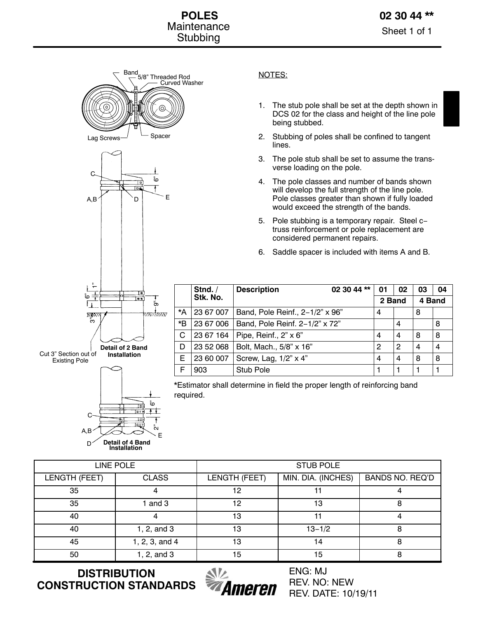



## **Stnd. / Stk. No. Description 02 30 44 \*\* 01 02 03 04 2 Band 4 Band** \*A 23 67 007 Band, Pole Reinf., 2-1/2" x 96" 4 | 8 \*B | 23 67 006 | Band, Pole Reinf. 2–1/2" x 72" | | 4 | | | 8 C 23 67 164 Pipe, Reinf.,  $2^{n} \times 6^{n}$  4 4 8 8 D | 23 52 068 | Bolt, Mach., 5/8" x 16" | 2 | 2 | 2 | 4 | 4 E | 23 60 007 | Screw, Lag,  $1/2$ " x 4" | 4 | 4 | 8 | 8 F 903 Stub Pole 1 1 1 1 1 1

\*Estimator shall determine in field the proper length of reinforcing band required.

|               | <b>LINE POLE</b>   | <b>STUB POLE</b> |                    |                        |  |  |  |
|---------------|--------------------|------------------|--------------------|------------------------|--|--|--|
| LENGTH (FEET) | <b>CLASS</b>       | LENGTH (FEET)    | MIN. DIA. (INCHES) | <b>BANDS NO. REQ'D</b> |  |  |  |
| 35            |                    | 12               |                    |                        |  |  |  |
| 35            | and 3              | 12               | 13                 |                        |  |  |  |
| 40            | 4                  | 13               | 11                 |                        |  |  |  |
| 40            | 1, 2, and 3        | 13               | $13 - 1/2$         | 8                      |  |  |  |
| 45            | $1, 2, 3,$ and $4$ | 13               | 14                 | 8                      |  |  |  |
| 50            | 1, 2, and 3        | 15               | 15                 | 8                      |  |  |  |

**DISTRIBUTION CONSTRUCTION STANDARDS**



ENG: MJ REV. NO: NEW REV. DATE: 10/19/11

# NOTES:

- 1. The stub pole shall be set at the depth shown in DCS 02 for the class and height of the line pole being stubbed.
- 2. Stubbing of poles shall be confined to tangent lines.
- 3. The pole stub shall be set to assume the transverse loading on the pole.
- 4. The pole classes and number of bands shown will develop the full strength of the line pole. Pole classes greater than shown if fully loaded would exceed the strength of the bands.
- 5. Pole stubbing is a temporary repair. Steel c− truss reinforcement or pole replacement are considered permanent repairs.
- 6. Saddle spacer is included with items A and B.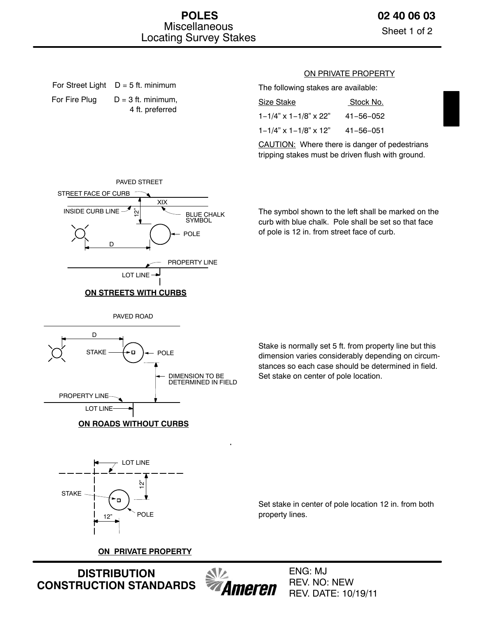Sheet 1 of 2

# For Street Light  $D = 5$  ft. minimum For Fire Plug  $D = 3$  ft. minimum, 4 ft. preferred

## ON PRIVATE PROPERTY

The following stakes are available:

| Size Stake                      | Stock No.       |
|---------------------------------|-----------------|
| $1 - 1/4$ " x $1 - 1/8$ " x 22" | 41-56-052       |
| $1 - 1/4$ " x $1 - 1/8$ " x 12" | $41 - 56 - 051$ |

CAUTION: Where there is danger of pedestrians tripping stakes must be driven flush with ground.



The symbol shown to the left shall be marked on the curb with blue chalk. Pole shall be set so that face of pole is 12 in. from street face of curb.

PAVED ROAD



Stake is normally set 5 ft. from property line but this dimension varies considerably depending on circumstances so each case should be determined in field. Set stake on center of pole location.



Set stake in center of pole location 12 in. from both property lines.

**ON PRIVATE PROPERTY**

**DISTRIBUTION CONSTRUCTION STANDARDS**



ENG: MJ REV. NO: NEW REV. DATE: 10/19/11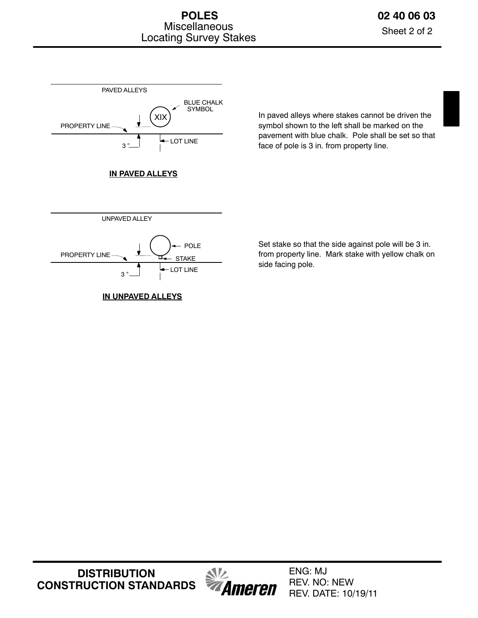

In paved alleys where stakes cannot be driven the symbol shown to the left shall be marked on the pavement with blue chalk. Pole shall be set so that face of pole is 3 in. from property line.

Set stake so that the side against pole will be 3 in. from property line. Mark stake with yellow chalk on side facing pole.

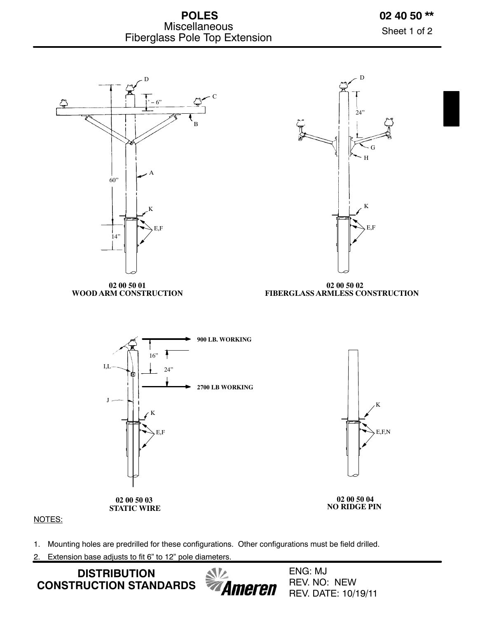



Sheet 1 of 2



## NOTES:

- 1. Mounting holes are predrilled for these configurations. Other configurations must be field drilled.
- 2. Extension base adjusts to fit 6" to 12" pole diameters.

**DISTRIBUTION CONSTRUCTION STANDARDS**  $\mathcal{N}$ Ameren ENG: MJ REV. NO: NEW REV. DATE: 10/19/11